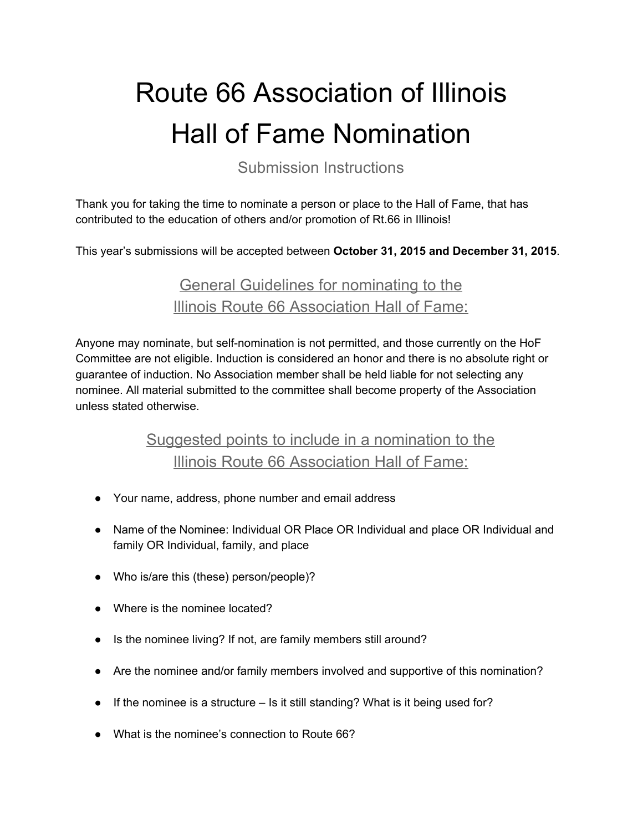## Route 66 Association of Illinois Hall of Fame Nomination

Submission Instructions

Thank you for taking the time to nominate a person or place to the Hall of Fame, that has contributed to the education of others and/or promotion of Rt.66 in Illinois!

This year's submissions will be accepted between **October 31, 2015 and December 31, 2015**.

General Guidelines for nominating to the Illinois Route 66 Association Hall of Fame:

Anyone may nominate, but self-nomination is not permitted, and those currently on the HoF Committee are not eligible. Induction is considered an honor and there is no absolute right or guarantee of induction. No Association member shall be held liable for not selecting any nominee. All material submitted to the committee shall become property of the Association unless stated otherwise.

## Suggested points to include in a nomination to the Illinois Route 66 Association Hall of Fame:

- Your name, address, phone number and email address
- Name of the Nominee: Individual OR Place OR Individual and place OR Individual and family OR Individual, family, and place
- Who is/are this (these) person/people)?
- Where is the nominee located?
- Is the nominee living? If not, are family members still around?
- Are the nominee and/or family members involved and supportive of this nomination?
- If the nominee is a structure Is it still standing? What is it being used for?
- What is the nominee's connection to Route 66?